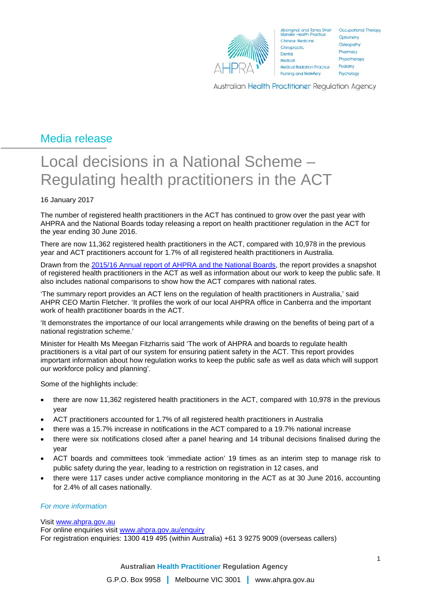

Aboriginal and Torres Strait Cocupational Therapy Chinese Medicine Chiropractic Dental Medical **Medical Radiation Practice** Nursing and Midwifery

Optometry Osteopathy Pharmacy Physiotherapy Podiatry Psychology

Australian Health Practitioner Regulation Agency

## Media release

# Local decisions in a National Scheme – Regulating health practitioners in the ACT

### 16 January 2017

The number of registered health practitioners in the ACT has continued to grow over the past year with AHPRA and the National Boards today releasing a report on health practitioner regulation in the ACT for the year ending 30 June 2016.

There are now 11,362 registered health practitioners in the ACT, compared with 10,978 in the previous year and ACT practitioners account for 1.7% of all registered health practitioners in Australia.

Drawn from the [2015/16 Annual report of AHPRA and the National Boards,](file://meerkat/AHPRA_National/Communications%20team/Media/Media%20releases/November%202016/2015/16%20Annual%20report%20of%20AHPRA%20and%20the%20National%20Boards,) the report provides a snapshot of registered health practitioners in the ACT as well as information about our work to keep the public safe. It also includes national comparisons to show how the ACT compares with national rates.

'The summary report provides an ACT lens on the regulation of health practitioners in Australia,' said AHPR CEO Martin Fletcher. 'It profiles the work of our local AHPRA office in Canberra and the important work of health practitioner boards in the ACT.

'It demonstrates the importance of our local arrangements while drawing on the benefits of being part of a national registration scheme.'

Minister for Health Ms Meegan Fitzharris said 'The work of AHPRA and boards to regulate health practitioners is a vital part of our system for ensuring patient safety in the ACT. This report provides important information about how regulation works to keep the public safe as well as data which will support our workforce policy and planning'.

Some of the highlights include:

- there are now 11,362 registered health practitioners in the ACT, compared with 10,978 in the previous year
- ACT practitioners accounted for 1.7% of all registered health practitioners in Australia
- there was a 15.7% increase in notifications in the ACT compared to a 19.7% national increase
- there were six notifications closed after a panel hearing and 14 tribunal decisions finalised during the year
- ACT boards and committees took 'immediate action' 19 times as an interim step to manage risk to public safety during the year, leading to a restriction on registration in 12 cases, and
- there were 117 cases under active compliance monitoring in the ACT as at 30 June 2016, accounting for 2.4% of all cases nationally.

#### *For more information*

#### Visit [www.ahpra.gov.au](http://www.ahpra.gov.au/)

For online enquiries visit [www.ahpra.gov.au/enquiry](http://www.ahpra.gov.au/enquiry) For registration enquiries: 1300 419 495 (within Australia) +61 3 9275 9009 (overseas callers)

**Australian Health Practitioner Regulation Agency**